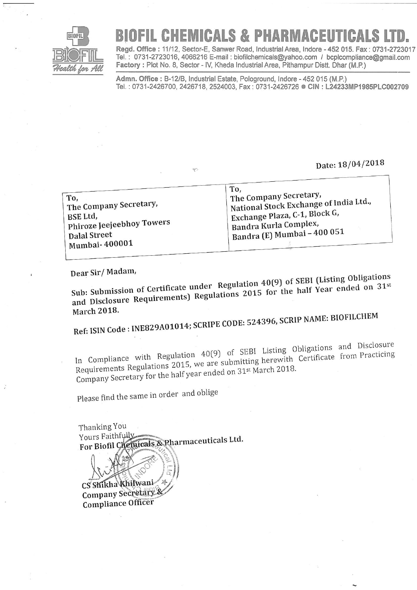

## RIOFIL CHEMICALS & PHARMACEUTICALS

Regd. Office: 11/12, Sector-E, Sanwer Road, Industrial Area, Indore - 452 015. Fax: 0731-2723017 Tel.: 0731-2723016, 4066216 E-mail: biofilchemicals@yahoo.com / bcplcompliance@gmail.com Factory: Plot No. 8, Sector - IV, Kheda Industrial Area, Pithampur Distt. Dhar (M.P.)

Admn. Office: B-12/B, Industrial Estate, Pologround, Indore - 452 015 (M.P.) Tel.: 0731-2426700, 2426718, 2524003, Fax: 0731-2426726 ● CIN: L24233MP1985PLC002709

Date: 18/04/2018

|                           | To,                                    |
|---------------------------|----------------------------------------|
| To,                       | The Company Secretary,                 |
| The Company Secretary,    | National Stock Exchange of India Ltd., |
| BSE Ltd,                  | Exchange Plaza, C-1, Block G,          |
| Phiroze Jeejeebhoy Towers | Bandra Kurla Complex,                  |
| <b>Dalal Street</b>       | $\perp$ Bandra (E) Mumbai - 400 051    |
| Mumbai-400001             |                                        |

ηc

Dear Sir/Madam,

Sub: Submission of Certificate under Regulation 40(9) of SEBI (Listing Obligations and Disclosure Requirements) Regulations 2015 for the half Year ended on 31st **March 2018.** 

Ref: ISIN Code: INE829A01014; SCRIPE CODE: 524396, SCRIP NAME: BIOFILCHEM

In Compliance with Regulation 40(9) of SEBI Listing Obligations and Disclosure Requirements Regulations 2015, we are submitting herewith Certificate from Practicing Company Secretary for the half year ended on 31<sup>st</sup> March 2018.

Please find the same in order and oblige

Thanking You Yours Faithfully For Biofil Chemicals & Pharmaceuticals Ltd.

CS Shikha Khilwani Company Secretary & Compliance Officer